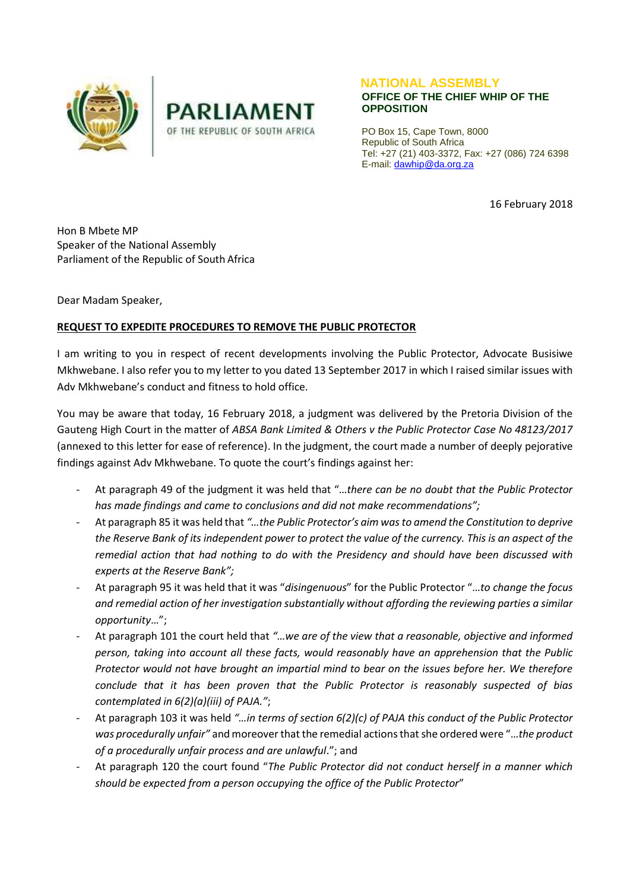



## **NATIONAL ASSEMBLY OFFICE OF THE CHIEF WHIP OF THE OPPOSITION**

PO Box 15, Cape Town, 8000 Republic of South Africa Tel: +27 (21) 403-3372, Fax: +27 (086) 724 6398 E-mail[: dawhip@da.org.za](mailto:dawhip@da.org.za)

16 February 2018

Hon B Mbete MP Speaker of the National Assembly Parliament of the Republic of South Africa

Dear Madam Speaker,

## **REQUEST TO EXPEDITE PROCEDURES TO REMOVE THE PUBLIC PROTECTOR**

I am writing to you in respect of recent developments involving the Public Protector, Advocate Busisiwe Mkhwebane. I also refer you to my letter to you dated 13 September 2017 in which I raised similar issues with Adv Mkhwebane's conduct and fitness to hold office.

You may be aware that today, 16 February 2018, a judgment was delivered by the Pretoria Division of the Gauteng High Court in the matter of *ABSA Bank Limited & Others v the Public Protector Case No 48123/2017* (annexed to this letter for ease of reference). In the judgment, the court made a number of deeply pejorative findings against Adv Mkhwebane. To quote the court's findings against her:

- At paragraph 49 of the judgment it was held that "…*there can be no doubt that the Public Protector has made findings and came to conclusions and did not make recommendations";*
- At paragraph 85 it was held that *"…the Public Protector's aim was to amend the Constitution to deprive the Reserve Bank of its independent power to protect the value of the currency. This is an aspect of the remedial action that had nothing to do with the Presidency and should have been discussed with experts at the Reserve Bank";*
- At paragraph 95 it was held that it was "*disingenuous*" for the Public Protector "…*to change the focus and remedial action of her investigation substantially without affording the reviewing parties a similar opportunity*…";
- At paragraph 101 the court held that *"…we are of the view that a reasonable, objective and informed person, taking into account all these facts, would reasonably have an apprehension that the Public Protector would not have brought an impartial mind to bear on the issues before her. We therefore conclude that it has been proven that the Public Protector is reasonably suspected of bias contemplated in 6(2)(a)(iii) of PAJA."*;
- At paragraph 103 it was held *"…in terms of section 6(2)(c) of PAJA this conduct of the Public Protector was procedurally unfair"* and moreover that the remedial actionsthat she ordered were "…*the product of a procedurally unfair process and are unlawful*."; and
- At paragraph 120 the court found "*The Public Protector did not conduct herself in a manner which should be expected from a person occupying the office of the Public Protector*"